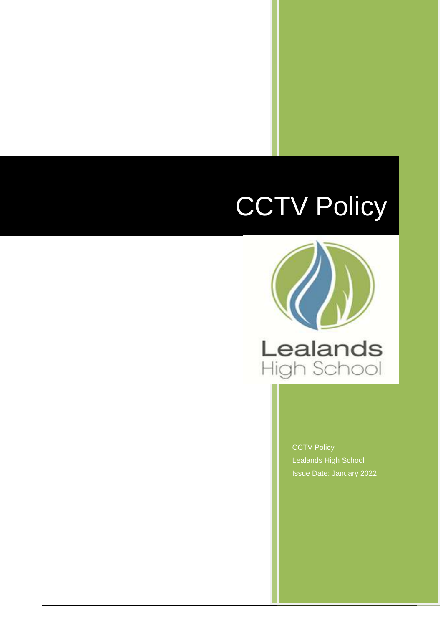# **CCTV Policy**

Snow and Ice Policy and Ice Policy and



**CCTV Policy** Lealands High School Issue Date: January 2022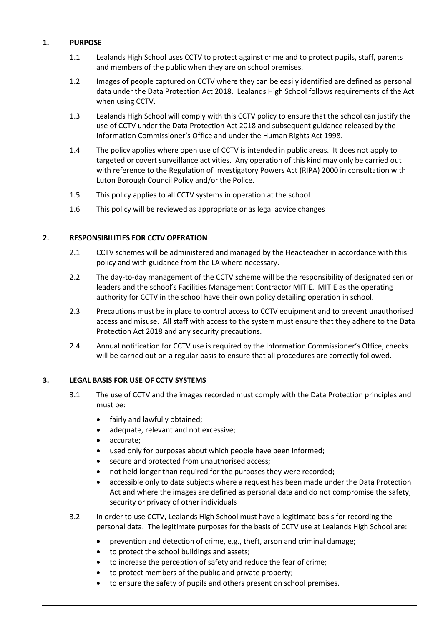# **1. PURPOSE**

- 1.1 Lealands High School uses CCTV to protect against crime and to protect pupils, staff, parents and members of the public when they are on school premises.
- 1.2 Images of people captured on CCTV where they can be easily identified are defined as personal data under the Data Protection Act 2018. Lealands High School follows requirements of the Act when using CCTV.
- 1.3 Lealands High School will comply with this CCTV policy to ensure that the school can justify the use of CCTV under the Data Protection Act 2018 and subsequent guidance released by the Information Commissioner's Office and under the Human Rights Act 1998.
- 1.4 The policy applies where open use of CCTV is intended in public areas. It does not apply to targeted or covert surveillance activities. Any operation of this kind may only be carried out with reference to the Regulation of Investigatory Powers Act (RIPA) 2000 in consultation with Luton Borough Council Policy and/or the Police.
- 1.5 This policy applies to all CCTV systems in operation at the school
- 1.6 This policy will be reviewed as appropriate or as legal advice changes

#### **2. RESPONSIBILITIES FOR CCTV OPERATION**

- 2.1 CCTV schemes will be administered and managed by the Headteacher in accordance with this policy and with guidance from the LA where necessary.
- 2.2 The day-to-day management of the CCTV scheme will be the responsibility of designated senior leaders and the school's Facilities Management Contractor MITIE. MITIE as the operating authority for CCTV in the school have their own policy detailing operation in school.
- 2.3 Precautions must be in place to control access to CCTV equipment and to prevent unauthorised access and misuse. All staff with access to the system must ensure that they adhere to the Data Protection Act 2018 and any security precautions.
- 2.4 Annual notification for CCTV use is required by the Information Commissioner's Office, checks will be carried out on a regular basis to ensure that all procedures are correctly followed.

# **3. LEGAL BASIS FOR USE OF CCTV SYSTEMS**

- 3.1 The use of CCTV and the images recorded must comply with the Data Protection principles and must be:
	- fairly and lawfully obtained;
	- adequate, relevant and not excessive;
	- accurate;
	- used only for purposes about which people have been informed;
	- secure and protected from unauthorised access;
	- not held longer than required for the purposes they were recorded;
	- accessible only to data subjects where a request has been made under the Data Protection Act and where the images are defined as personal data and do not compromise the safety, security or privacy of other individuals
- 3.2 In order to use CCTV, Lealands High School must have a legitimate basis for recording the personal data. The legitimate purposes for the basis of CCTV use at Lealands High School are:
	- prevention and detection of crime, e.g., theft, arson and criminal damage;
	- to protect the school buildings and assets;
	- to increase the perception of safety and reduce the fear of crime;
	- to protect members of the public and private property;
	- to ensure the safety of pupils and others present on school premises.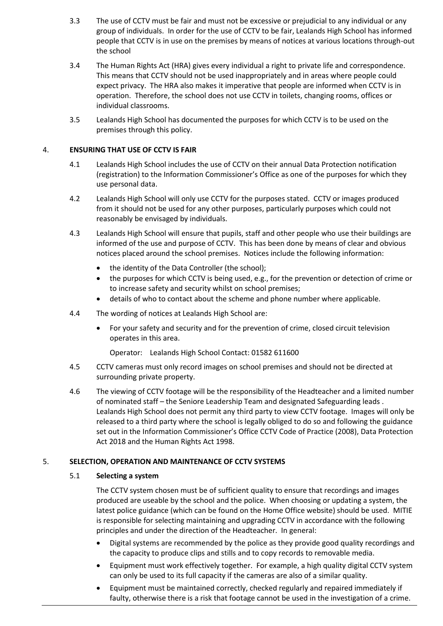- 3.3 The use of CCTV must be fair and must not be excessive or prejudicial to any individual or any group of individuals. In order for the use of CCTV to be fair, Lealands High School has informed people that CCTV is in use on the premises by means of notices at various locations through-out the school
- 3.4 The Human Rights Act (HRA) gives every individual a right to private life and correspondence. This means that CCTV should not be used inappropriately and in areas where people could expect privacy. The HRA also makes it imperative that people are informed when CCTV is in operation. Therefore, the school does not use CCTV in toilets, changing rooms, offices or individual classrooms.
- 3.5 Lealands High School has documented the purposes for which CCTV is to be used on the premises through this policy.

#### 4. **ENSURING THAT USE OF CCTV IS FAIR**

- 4.1 Lealands High School includes the use of CCTV on their annual Data Protection notification (registration) to the Information Commissioner's Office as one of the purposes for which they use personal data.
- 4.2 Lealands High School will only use CCTV for the purposes stated. CCTV or images produced from it should not be used for any other purposes, particularly purposes which could not reasonably be envisaged by individuals.
- 4.3 Lealands High School will ensure that pupils, staff and other people who use their buildings are informed of the use and purpose of CCTV. This has been done by means of clear and obvious notices placed around the school premises. Notices include the following information:
	- the identity of the Data Controller (the school);
	- the purposes for which CCTV is being used, e.g., for the prevention or detection of crime or to increase safety and security whilst on school premises;
	- details of who to contact about the scheme and phone number where applicable.
- 4.4 The wording of notices at Lealands High School are:
	- For your safety and security and for the prevention of crime, closed circuit television operates in this area.

Operator: Lealands High School Contact: 01582 611600

- 4.5 CCTV cameras must only record images on school premises and should not be directed at surrounding private property.
- 4.6 The viewing of CCTV footage will be the responsibility of the Headteacher and a limited number of nominated staff – the Seniore Leadership Team and designated Safeguarding leads . Lealands High School does not permit any third party to view CCTV footage. Images will only be released to a third party where the school is legally obliged to do so and following the guidance set out in the Information Commissioner's Office CCTV Code of Practice (2008), Data Protection Act 2018 and the Human Rights Act 1998.

# 5. **SELECTION, OPERATION AND MAINTENANCE OF CCTV SYSTEMS**

#### 5.1 **Selecting a system**

The CCTV system chosen must be of sufficient quality to ensure that recordings and images produced are useable by the school and the police. When choosing or updating a system, the latest police guidance (which can be found on the Home Office website) should be used. MITIE is responsible for selecting maintaining and upgrading CCTV in accordance with the following principles and under the direction of the Headteacher. In general:

- Digital systems are recommended by the police as they provide good quality recordings and the capacity to produce clips and stills and to copy records to removable media.
- Equipment must work effectively together. For example, a high quality digital CCTV system can only be used to its full capacity if the cameras are also of a similar quality.
- Equipment must be maintained correctly, checked regularly and repaired immediately if faulty, otherwise there is a risk that footage cannot be used in the investigation of a crime.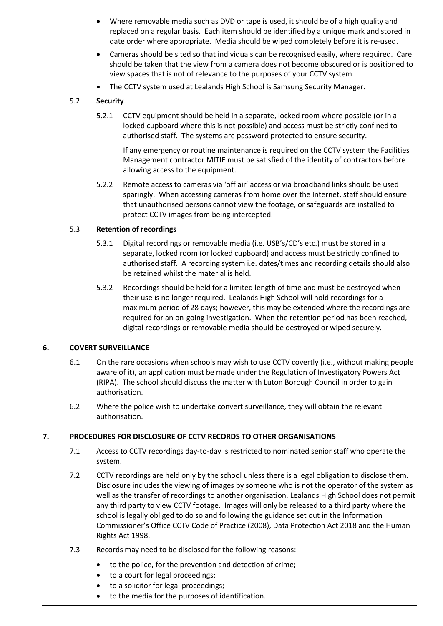- Where removable media such as DVD or tape is used, it should be of a high quality and replaced on a regular basis. Each item should be identified by a unique mark and stored in date order where appropriate. Media should be wiped completely before it is re-used.
- Cameras should be sited so that individuals can be recognised easily, where required. Care should be taken that the view from a camera does not become obscured or is positioned to view spaces that is not of relevance to the purposes of your CCTV system.
- The CCTV system used at Lealands High School is Samsung Security Manager.

#### 5.2 **Security**

5.2.1 CCTV equipment should be held in a separate, locked room where possible (or in a locked cupboard where this is not possible) and access must be strictly confined to authorised staff. The systems are password protected to ensure security.

If any emergency or routine maintenance is required on the CCTV system the Facilities Management contractor MITIE must be satisfied of the identity of contractors before allowing access to the equipment.

5.2.2 Remote access to cameras via 'off air' access or via broadband links should be used sparingly. When accessing cameras from home over the Internet, staff should ensure that unauthorised persons cannot view the footage, or safeguards are installed to protect CCTV images from being intercepted.

#### 5.3 **Retention of recordings**

- 5.3.1 Digital recordings or removable media (i.e. USB's/CD's etc.) must be stored in a separate, locked room (or locked cupboard) and access must be strictly confined to authorised staff. A recording system i.e. dates/times and recording details should also be retained whilst the material is held.
- 5.3.2 Recordings should be held for a limited length of time and must be destroyed when their use is no longer required. Lealands High School will hold recordings for a maximum period of 28 days; however, this may be extended where the recordings are required for an on-going investigation. When the retention period has been reached, digital recordings or removable media should be destroyed or wiped securely.

#### **6. COVERT SURVEILLANCE**

- 6.1 On the rare occasions when schools may wish to use CCTV covertly (i.e., without making people aware of it), an application must be made under the Regulation of Investigatory Powers Act (RIPA). The school should discuss the matter with Luton Borough Council in order to gain authorisation.
- 6.2 Where the police wish to undertake convert surveillance, they will obtain the relevant authorisation.

# **7. PROCEDURES FOR DISCLOSURE OF CCTV RECORDS TO OTHER ORGANISATIONS**

- 7.1 Access to CCTV recordings day-to-day is restricted to nominated senior staff who operate the system.
- 7.2 CCTV recordings are held only by the school unless there is a legal obligation to disclose them. Disclosure includes the viewing of images by someone who is not the operator of the system as well as the transfer of recordings to another organisation. Lealands High School does not permit any third party to view CCTV footage. Images will only be released to a third party where the school is legally obliged to do so and following the guidance set out in the Information Commissioner's Office CCTV Code of Practice (2008), Data Protection Act 2018 and the Human Rights Act 1998.
- 7.3 Records may need to be disclosed for the following reasons:
	- to the police, for the prevention and detection of crime;
	- to a court for legal proceedings;
	- to a solicitor for legal proceedings;
	- to the media for the purposes of identification.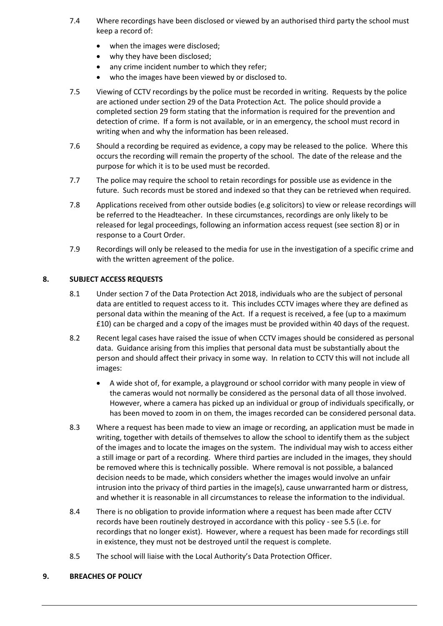- 7.4 Where recordings have been disclosed or viewed by an authorised third party the school must keep a record of:
	- when the images were disclosed;
	- why they have been disclosed;
	- any crime incident number to which they refer;
	- who the images have been viewed by or disclosed to.
- 7.5 Viewing of CCTV recordings by the police must be recorded in writing. Requests by the police are actioned under section 29 of the Data Protection Act. The police should provide a completed section 29 form stating that the information is required for the prevention and detection of crime. If a form is not available, or in an emergency, the school must record in writing when and why the information has been released.
- 7.6 Should a recording be required as evidence, a copy may be released to the police. Where this occurs the recording will remain the property of the school. The date of the release and the purpose for which it is to be used must be recorded.
- 7.7 The police may require the school to retain recordings for possible use as evidence in the future. Such records must be stored and indexed so that they can be retrieved when required.
- 7.8 Applications received from other outside bodies (e.g solicitors) to view or release recordings will be referred to the Headteacher. In these circumstances, recordings are only likely to be released for legal proceedings, following an information access request (see section 8) or in response to a Court Order.
- 7.9 Recordings will only be released to the media for use in the investigation of a specific crime and with the written agreement of the police.

# **8. SUBJECT ACCESS REQUESTS**

- 8.1 Under section 7 of the Data Protection Act 2018, individuals who are the subject of personal data are entitled to request access to it. This includes CCTV images where they are defined as personal data within the meaning of the Act. If a request is received, a fee (up to a maximum £10) can be charged and a copy of the images must be provided within 40 days of the request.
- 8.2 Recent legal cases have raised the issue of when CCTV images should be considered as personal data. Guidance arising from this implies that personal data must be substantially about the person and should affect their privacy in some way. In relation to CCTV this will not include all images:
	- A wide shot of, for example, a playground or school corridor with many people in view of the cameras would not normally be considered as the personal data of all those involved. However, where a camera has picked up an individual or group of individuals specifically, or has been moved to zoom in on them, the images recorded can be considered personal data.
- 8.3 Where a request has been made to view an image or recording, an application must be made in writing, together with details of themselves to allow the school to identify them as the subject of the images and to locate the images on the system. The individual may wish to access either a still image or part of a recording. Where third parties are included in the images, they should be removed where this is technically possible. Where removal is not possible, a balanced decision needs to be made, which considers whether the images would involve an unfair intrusion into the privacy of third parties in the image(s), cause unwarranted harm or distress, and whether it is reasonable in all circumstances to release the information to the individual.
- 8.4 There is no obligation to provide information where a request has been made after CCTV records have been routinely destroyed in accordance with this policy - see 5.5 (i.e. for recordings that no longer exist). However, where a request has been made for recordings still in existence, they must not be destroyed until the request is complete.
- 8.5 The school will liaise with the Local Authority's Data Protection Officer.

# **9. BREACHES OF POLICY**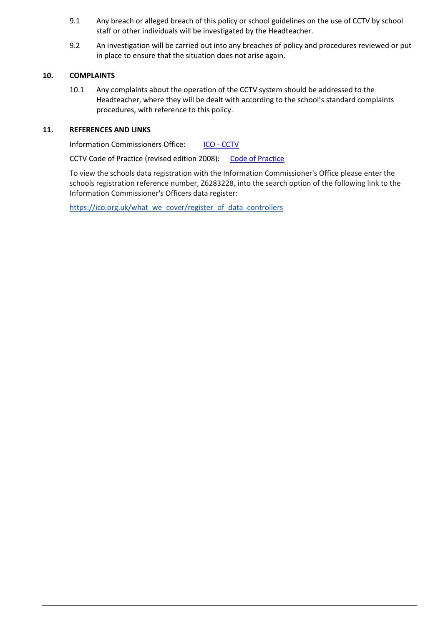- 9.1 Any breach or alleged breach of this policy or school guidelines on the use of CCTV by school staff or other individuals will be investigated by the Headteacher.
- 9.2 An investigation will be carried out into any breaches of policy and procedures reviewed or put in place to ensure that the situation does not arise again.

#### **10. COMPLAINTS**

10.1 Any complaints about the operation of the CCTV system should be addressed to the Headteacher, where they will be dealt with according to the school's standard complaints procedures, with reference to this policy.

#### **11. REFERENCES AND LINKS**

Information Commissioners Office: ICO - [CCTV](https://ico.org.uk/for-the-public/cctv/)

CCTV [Code of Practice](https://ico.org.uk/media/for-organisations/documents/1542/cctv-code-of-practice.pdf) (revised edition 2008): Code of Practice

To view the schools data registration with the Information Commissioner's Office please enter the schools registration reference number, Z6283228, into the search option of the following link to the Information Commissioner's Officers data register:

[https://ico.org.uk/what\\_we\\_cover/register\\_of\\_data\\_controllers](https://ico.org.uk/what_we_cover/register_of_data_controllers)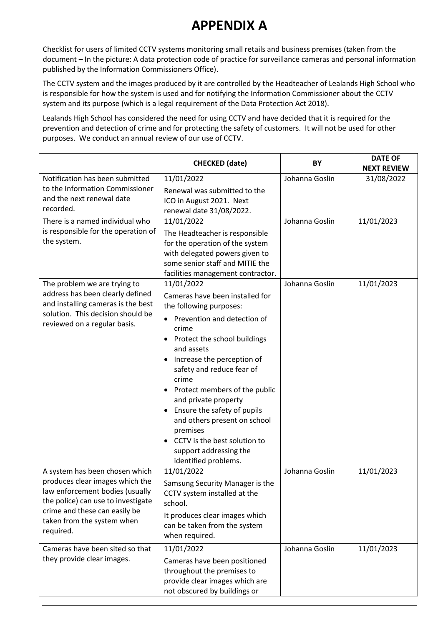# **APPENDIX A**

Checklist for users of limited CCTV systems monitoring small retails and business premises (taken from the document – In the picture: A data protection code of practice for surveillance cameras and personal information published by the Information Commissioners Office).

The CCTV system and the images produced by it are controlled by the Headteacher of Lealands High School who is responsible for how the system is used and for notifying the Information Commissioner about the CCTV system and its purpose (which is a legal requirement of the Data Protection Act 2018).

Lealands High School has considered the need for using CCTV and have decided that it is required for the prevention and detection of crime and for protecting the safety of customers. It will not be used for other purposes. We conduct an annual review of our use of CCTV.

|                                                                                                                                                                                                                                                           | <b>CHECKED</b> (date)                                                                                                                                                                                                                                                                                                                                                                                                                                                              | BY                               | <b>DATE OF</b><br><b>NEXT REVIEW</b> |
|-----------------------------------------------------------------------------------------------------------------------------------------------------------------------------------------------------------------------------------------------------------|------------------------------------------------------------------------------------------------------------------------------------------------------------------------------------------------------------------------------------------------------------------------------------------------------------------------------------------------------------------------------------------------------------------------------------------------------------------------------------|----------------------------------|--------------------------------------|
| Notification has been submitted<br>to the Information Commissioner<br>and the next renewal date<br>recorded.                                                                                                                                              | 11/01/2022<br>Renewal was submitted to the<br>ICO in August 2021. Next<br>renewal date 31/08/2022.                                                                                                                                                                                                                                                                                                                                                                                 | Johanna Goslin                   | 31/08/2022                           |
| There is a named individual who<br>is responsible for the operation of<br>the system.                                                                                                                                                                     | 11/01/2022<br>The Headteacher is responsible<br>for the operation of the system<br>with delegated powers given to<br>some senior staff and MITIE the<br>facilities management contractor.                                                                                                                                                                                                                                                                                          | Johanna Goslin                   | 11/01/2023                           |
| The problem we are trying to<br>address has been clearly defined<br>and installing cameras is the best<br>solution. This decision should be<br>reviewed on a regular basis.                                                                               | 11/01/2022<br>Cameras have been installed for<br>the following purposes:<br>Prevention and detection of<br>$\bullet$<br>crime<br>Protect the school buildings<br>and assets<br>Increase the perception of<br>$\bullet$<br>safety and reduce fear of<br>crime<br>Protect members of the public<br>and private property<br>Ensure the safety of pupils<br>and others present on school<br>premises<br>CCTV is the best solution to<br>support addressing the<br>identified problems. | Johanna Goslin                   | 11/01/2023                           |
| A system has been chosen which<br>produces clear images which the<br>law enforcement bodies (usually<br>the police) can use to investigate<br>crime and these can easily be<br>taken from the system when<br>required.<br>Cameras have been sited so that | 11/01/2022<br>Samsung Security Manager is the<br>CCTV system installed at the<br>school.<br>It produces clear images which<br>can be taken from the system<br>when required.<br>11/01/2022                                                                                                                                                                                                                                                                                         | Johanna Goslin<br>Johanna Goslin | 11/01/2023<br>11/01/2023             |
| they provide clear images.                                                                                                                                                                                                                                | Cameras have been positioned<br>throughout the premises to<br>provide clear images which are<br>not obscured by buildings or                                                                                                                                                                                                                                                                                                                                                       |                                  |                                      |